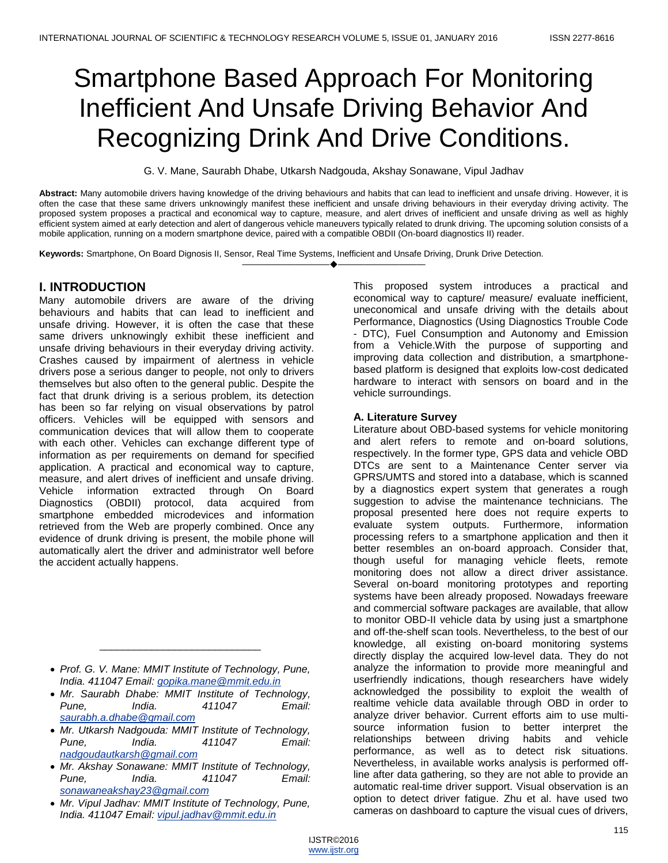# Smartphone Based Approach For Monitoring Inefficient And Unsafe Driving Behavior And Recognizing Drink And Drive Conditions.

G. V. Mane, Saurabh Dhabe, Utkarsh Nadgouda, Akshay Sonawane, Vipul Jadhav

**Abstract:** Many automobile drivers having knowledge of the driving behaviours and habits that can lead to inefficient and unsafe driving. However, it is often the case that these same drivers unknowingly manifest these inefficient and unsafe driving behaviours in their everyday driving activity. The proposed system proposes a practical and economical way to capture, measure, and alert drives of inefficient and unsafe driving as well as highly efficient system aimed at early detection and alert of dangerous vehicle maneuvers typically related to drunk driving. The upcoming solution consists of a mobile application, running on a modern smartphone device, paired with a compatible OBDII (On-board diagnostics II) reader.

————————————————————

**Keywords:** Smartphone, On Board Dignosis II, Sensor, Real Time Systems, Inefficient and Unsafe Driving, Drunk Drive Detection.

# **I. INTRODUCTION**

Many automobile drivers are aware of the driving behaviours and habits that can lead to inefficient and unsafe driving. However, it is often the case that these same drivers unknowingly exhibit these inefficient and unsafe driving behaviours in their everyday driving activity. Crashes caused by impairment of alertness in vehicle drivers pose a serious danger to people, not only to drivers themselves but also often to the general public. Despite the fact that drunk driving is a serious problem, its detection has been so far relying on visual observations by patrol officers. Vehicles will be equipped with sensors and communication devices that will allow them to cooperate with each other. Vehicles can exchange different type of information as per requirements on demand for specified application. A practical and economical way to capture, measure, and alert drives of inefficient and unsafe driving. Vehicle information extracted through On Board Diagnostics (OBDII) protocol, data acquired from smartphone embedded microdevices and information retrieved from the Web are properly combined. Once any evidence of drunk driving is present, the mobile phone will automatically alert the driver and administrator well before the accident actually happens.

 *Prof. G. V. Mane: MMIT Institute of Technology, Pune, India. 411047 Email: gopika.mane@mmit.edu.in*

\_\_\_\_\_\_\_\_\_\_\_\_\_\_\_\_\_\_\_\_\_\_\_\_\_\_\_\_

- *Mr. Saurabh Dhabe: MMIT Institute of Technology, Pune, India. 411047 Email: saurabh.a.dhabe@gmail.com*
- *Mr. Utkarsh Nadgouda: MMIT Institute of Technology, Pune, India. 411047 Email: nadgoudautkarsh@gmail.com*
- *Mr. Akshay Sonawane: MMIT Institute of Technology, Pune, India. 411047 Email: sonawaneakshay23@gmail.com*
- *Mr. Vipul Jadhav: MMIT Institute of Technology, Pune, India. 411047 Email: vipul.jadhav@mmit.edu.in*

This proposed system introduces a practical and economical way to capture/ measure/ evaluate inefficient, uneconomical and unsafe driving with the details about Performance, Diagnostics (Using Diagnostics Trouble Code - DTC), Fuel Consumption and Autonomy and Emission from a Vehicle.With the purpose of supporting and improving data collection and distribution, a smartphonebased platform is designed that exploits low-cost dedicated hardware to interact with sensors on board and in the vehicle surroundings.

## **A. Literature Survey**

Literature about OBD-based systems for vehicle monitoring and alert refers to remote and on-board solutions, respectively. In the former type, GPS data and vehicle OBD DTCs are sent to a Maintenance Center server via GPRS/UMTS and stored into a database, which is scanned by a diagnostics expert system that generates a rough suggestion to advise the maintenance technicians. The proposal presented here does not require experts to evaluate system outputs. Furthermore, information processing refers to a smartphone application and then it better resembles an on-board approach. Consider that, though useful for managing vehicle fleets, remote monitoring does not allow a direct driver assistance. Several on-board monitoring prototypes and reporting systems have been already proposed. Nowadays freeware and commercial software packages are available, that allow to monitor OBD-II vehicle data by using just a smartphone and off-the-shelf scan tools. Nevertheless, to the best of our knowledge, all existing on-board monitoring systems directly display the acquired low-level data. They do not analyze the information to provide more meaningful and userfriendly indications, though researchers have widely acknowledged the possibility to exploit the wealth of realtime vehicle data available through OBD in order to analyze driver behavior. Current efforts aim to use multisource information fusion to better interpret the relationships between driving habits and vehicle performance, as well as to detect risk situations. Nevertheless, in available works analysis is performed offline after data gathering, so they are not able to provide an automatic real-time driver support. Visual observation is an option to detect driver fatigue. Zhu et al. have used two cameras on dashboard to capture the visual cues of drivers,